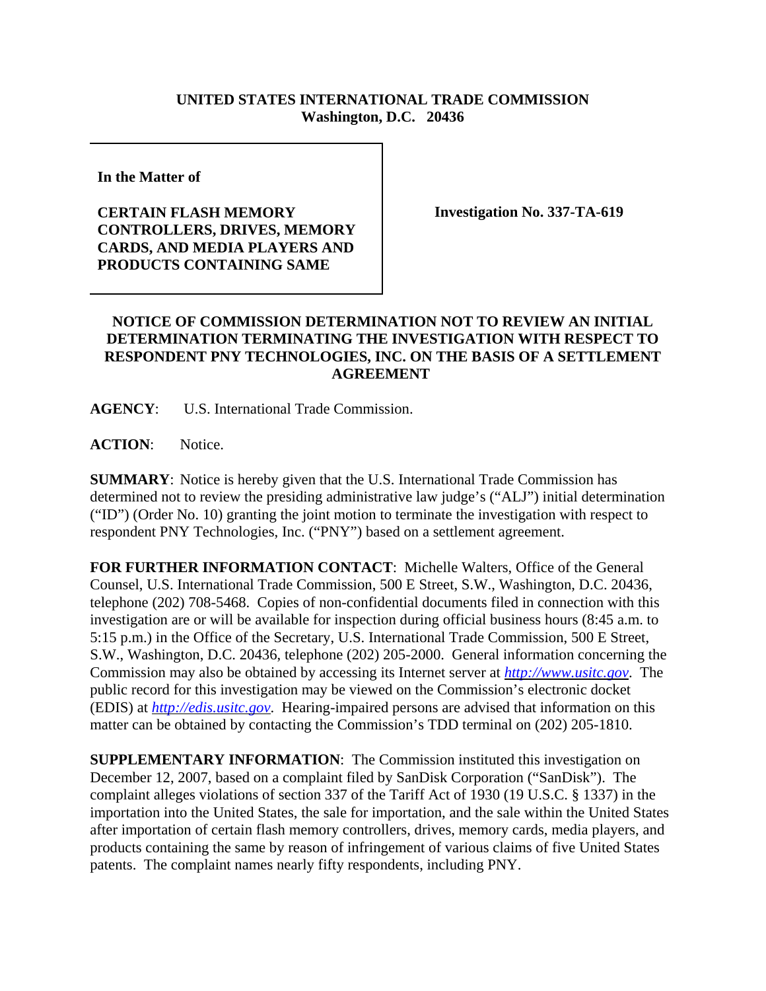## **UNITED STATES INTERNATIONAL TRADE COMMISSION Washington, D.C. 20436**

**In the Matter of** 

## **CERTAIN FLASH MEMORY CONTROLLERS, DRIVES, MEMORY CARDS, AND MEDIA PLAYERS AND PRODUCTS CONTAINING SAME**

**Investigation No. 337-TA-619**

## **NOTICE OF COMMISSION DETERMINATION NOT TO REVIEW AN INITIAL DETERMINATION TERMINATING THE INVESTIGATION WITH RESPECT TO RESPONDENT PNY TECHNOLOGIES, INC. ON THE BASIS OF A SETTLEMENT AGREEMENT**

**AGENCY**: U.S. International Trade Commission.

**ACTION**: Notice.

**SUMMARY**: Notice is hereby given that the U.S. International Trade Commission has determined not to review the presiding administrative law judge's ("ALJ") initial determination ("ID") (Order No. 10) granting the joint motion to terminate the investigation with respect to respondent PNY Technologies, Inc. ("PNY") based on a settlement agreement.

**FOR FURTHER INFORMATION CONTACT**: Michelle Walters, Office of the General Counsel, U.S. International Trade Commission, 500 E Street, S.W., Washington, D.C. 20436, telephone (202) 708-5468. Copies of non-confidential documents filed in connection with this investigation are or will be available for inspection during official business hours (8:45 a.m. to 5:15 p.m.) in the Office of the Secretary, U.S. International Trade Commission, 500 E Street, S.W., Washington, D.C. 20436, telephone (202) 205-2000. General information concerning the Commission may also be obtained by accessing its Internet server at *http://www.usitc.gov*. The public record for this investigation may be viewed on the Commission's electronic docket (EDIS) at *http://edis.usitc.gov*. Hearing-impaired persons are advised that information on this matter can be obtained by contacting the Commission's TDD terminal on (202) 205-1810.

**SUPPLEMENTARY INFORMATION**: The Commission instituted this investigation on December 12, 2007, based on a complaint filed by SanDisk Corporation ("SanDisk"). The complaint alleges violations of section 337 of the Tariff Act of 1930 (19 U.S.C. § 1337) in the importation into the United States, the sale for importation, and the sale within the United States after importation of certain flash memory controllers, drives, memory cards, media players, and products containing the same by reason of infringement of various claims of five United States patents. The complaint names nearly fifty respondents, including PNY.